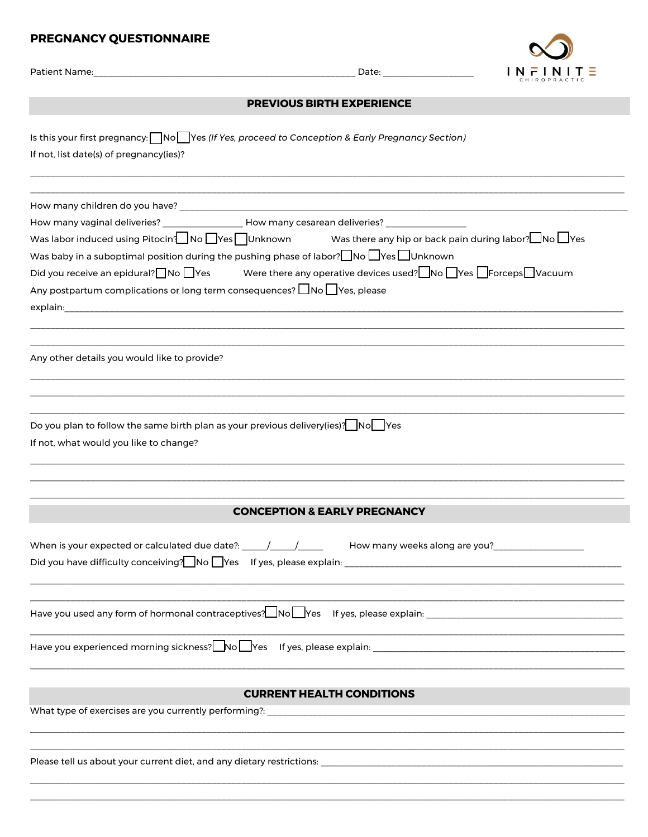## PREGNANCY QUESTIONNAIRE

|                                                                                                                                                                                                                                                                                                                                                                                                                                                                                                                                                               |                                         | Date: ____________________ | $IN$ $F$ $IN$ $I$ $T \equiv$ |
|---------------------------------------------------------------------------------------------------------------------------------------------------------------------------------------------------------------------------------------------------------------------------------------------------------------------------------------------------------------------------------------------------------------------------------------------------------------------------------------------------------------------------------------------------------------|-----------------------------------------|----------------------------|------------------------------|
|                                                                                                                                                                                                                                                                                                                                                                                                                                                                                                                                                               | <b>PREVIOUS BIRTH EXPERIENCE</b>        |                            |                              |
| Is this your first pregnancy: $\Box$ No $\Box$ Yes (If Yes, proceed to Conception & Early Pregnancy Section)<br>If not, list date(s) of pregnancy(ies)?                                                                                                                                                                                                                                                                                                                                                                                                       |                                         |                            |                              |
| How many vaginal deliveries? __________________ How many cesarean deliveries? ________<br>Was labor induced using Pitocin? No $\Box$ Yes $\Box$ Unknown Was there any hip or back pain during labor? $\Box$ No $\Box$ Yes<br>Was baby in a suboptimal position during the pushing phase of labor? $\Box$ No $\Box$ Yes $\Box$ Unknown<br>Did you receive an epidural? No $\Box$ Yes Were there any operative devices used? No $\Box$ Yes $\Box$ Forceps $\Box$ Vacuum<br>Any postpartum complications or long term consequences? $\Box$ No $\Box$ Yes, please |                                         |                            |                              |
| Any other details you would like to provide?                                                                                                                                                                                                                                                                                                                                                                                                                                                                                                                  |                                         |                            |                              |
| Do you plan to follow the same birth plan as your previous delivery(ies)? $\Box$ No $\Box$ Yes<br>If not, what would you like to change?                                                                                                                                                                                                                                                                                                                                                                                                                      |                                         |                            |                              |
|                                                                                                                                                                                                                                                                                                                                                                                                                                                                                                                                                               | <b>CONCEPTION &amp; EARLY PREGNANCY</b> |                            |                              |
| When is your expected or calculated due date?: _____/_____/______ How many weeks along are you?________________                                                                                                                                                                                                                                                                                                                                                                                                                                               |                                         |                            |                              |
|                                                                                                                                                                                                                                                                                                                                                                                                                                                                                                                                                               |                                         |                            |                              |
|                                                                                                                                                                                                                                                                                                                                                                                                                                                                                                                                                               |                                         |                            |                              |
|                                                                                                                                                                                                                                                                                                                                                                                                                                                                                                                                                               | <b>CURRENT HEALTH CONDITIONS</b>        |                            |                              |
|                                                                                                                                                                                                                                                                                                                                                                                                                                                                                                                                                               |                                         |                            |                              |
|                                                                                                                                                                                                                                                                                                                                                                                                                                                                                                                                                               |                                         |                            |                              |